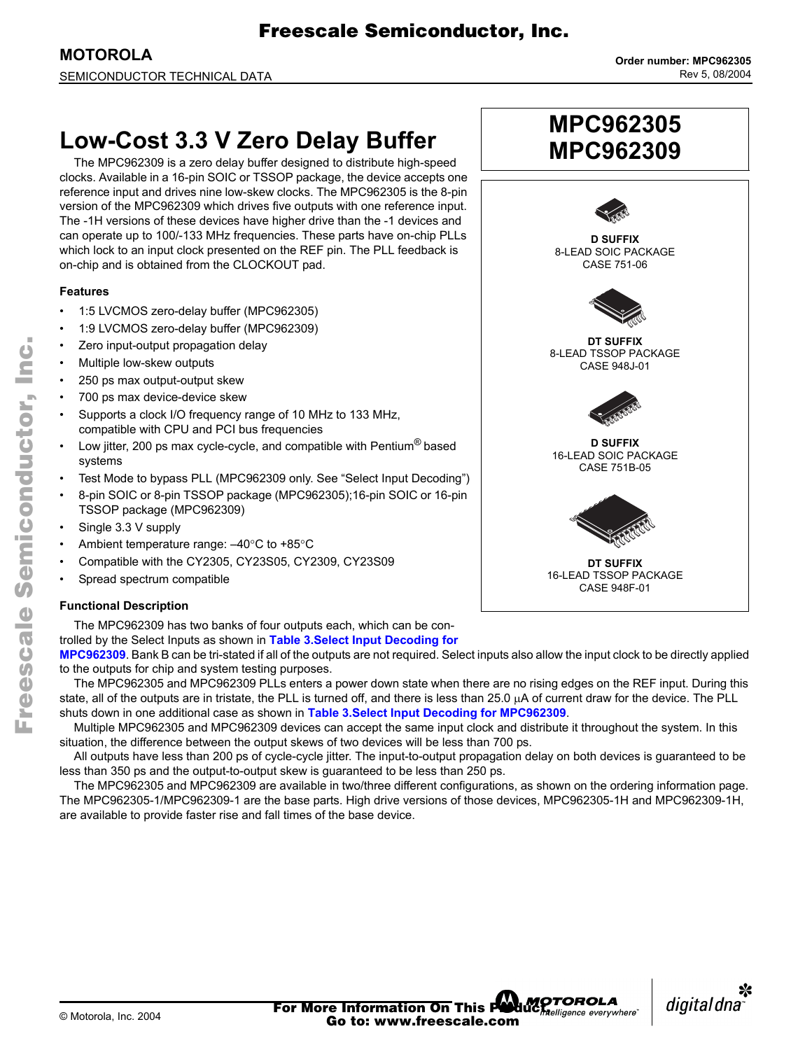# **Low-Cost 3.3 V Zero Delay Buffer**

The MPC962309 is a zero delay buffer designed to distribute high-speed clocks. Available in a 16-pin SOIC or TSSOP package, the device accepts one reference input and drives nine low-skew clocks. The MPC962305 is the 8-pin version of the MPC962309 which drives five outputs with one reference input. The -1H versions of these devices have higher drive than the -1 devices and can operate up to 100/-133 MHz frequencies. These parts have on-chip PLLs which lock to an input clock presented on the REF pin. The PLL feedback is on-chip and is obtained from the CLOCKOUT pad.

### **Features**

- $\cdot$  1:5 LVCMOS zero-delay buffer (MPC962305)
- 1:9 LVCMOS zero-delay buffer (MPC962309)
- Zero input-output propagation delay
- Multiple low-skew outputs
- 250 ps max output-output skew
- 700 ps max device-device skew
- Supports a clock I/O frequency range of 10 MHz to 133 MHz, compatible with CPU and PCI bus frequencies
- Low jitter, 200 ps max cycle-cycle, and compatible with Pentium<sup>®</sup> based systems
- Test Mode to bypass PLL (MPC962309 only. See "Select Input Decoding")
- 8-pin SOIC or 8-pin TSSOP package (MPC962305);16-pin SOIC or 16-pin TSSOP package (MPC962309)
- Single 3.3 V supply
- Ambient temperature range:  $-40^{\circ}$ C to +85°C
- Compatible with the CY2305, CY23S05, CY2309, CY23S09
- Spread spectrum compatible

## **Functional Description**

The MPC962309 has two banks of four outputs each, which can be con-

trolled by the Select Inputs as shown in **[Table 3.Select Input Decoding for](#page-2-0)** 

**[MPC962309](#page-2-0)**. Bank B can be tri-stated if all of the outputs are not required. Select inputs also allow the input clock to be directly applied to the outputs for chip and system testing purposes.

The MPC962305 and MPC962309 PLLs enters a power down state when there are no rising edges on the REF input. During this state, all of the outputs are in tristate, the PLL is turned off, and there is less than 25.0 µA of current draw for the device. The PLL shuts down in one additional case as shown in **[Table 3.Select Input Decoding for MPC962309](#page-2-0)**.

Multiple MPC962305 and MPC962309 devices can accept the same input clock and distribute it throughout the system. In this situation, the difference between the output skews of two devices will be less than 700 ps.

All outputs have less than 200 ps of cycle-cycle jitter. The input-to-output propagation delay on both devices is guaranteed to be less than 350 ps and the output-to-output skew is guaranteed to be less than 250 ps.

The MPC962305 and MPC962309 are available in two/three different configurations, as shown on the ordering information page. The MPC962305-1/MPC962309-1 are the base parts. High drive versions of those devices, MPC962305-1H and MPC962309-1H, are available to provide faster rise and fall times of the base device.



**MPC962305**





n

.<br>ق

F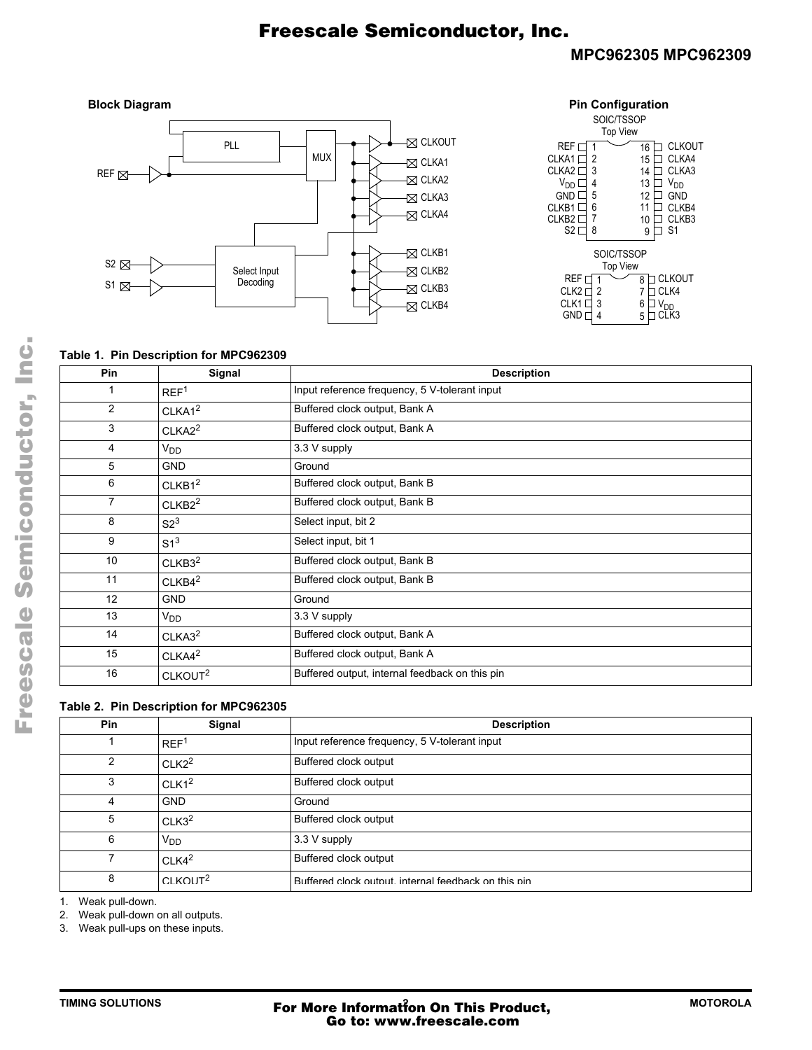## **MPC962305 MPC962309**



| <b>Pin Configuration</b>                                                                                                                                 |                                                                                                                                                    |  |  |
|----------------------------------------------------------------------------------------------------------------------------------------------------------|----------------------------------------------------------------------------------------------------------------------------------------------------|--|--|
| SOIC/TSSOP                                                                                                                                               |                                                                                                                                                    |  |  |
| <b>Top View</b>                                                                                                                                          |                                                                                                                                                    |  |  |
| REF I<br>1<br><b>CLKA1</b> F<br>2<br>3<br>CLKA <sub>2</sub><br>$V_{DD}$<br>4<br>5<br>GND <sup>[</sup><br>6<br>CLKB1<br>CLKB <sub>2</sub><br>7<br>8<br>S2 | <b>CLKOUT</b><br>16<br>CLKA4<br>15<br>CLKA3<br>14<br><b>V<sub>DD</sub></b><br>13<br>12<br>GND<br>11<br>CLKB4<br>CLKB3<br>10<br>S <sub>1</sub><br>9 |  |  |
| <b>SOIC/TSSOP</b>                                                                                                                                        |                                                                                                                                                    |  |  |
| <b>Top View</b>                                                                                                                                          |                                                                                                                                                    |  |  |
| REF r                                                                                                                                                    | CLKOUT<br>8                                                                                                                                        |  |  |
| CLK2 <sub>I</sub><br>$\overline{c}$                                                                                                                      | CLK4                                                                                                                                               |  |  |
| 3<br>CLK1 <sub>L</sub>                                                                                                                                   | 6                                                                                                                                                  |  |  |
| <b>GND</b> r<br>4                                                                                                                                        | LK3<br>5                                                                                                                                           |  |  |

### **Table 1. Pin Description for MPC962309**

| Pin | Signal              | <b>Description</b>                             |
|-----|---------------------|------------------------------------------------|
|     | REF <sup>1</sup>    | Input reference frequency, 5 V-tolerant input  |
| 2   | CLKA1 <sup>2</sup>  | Buffered clock output, Bank A                  |
| 3   | CLKA2 <sup>2</sup>  | Buffered clock output, Bank A                  |
| 4   | $V_{DD}$            | 3.3 V supply                                   |
| 5   | <b>GND</b>          | Ground                                         |
| 6   | CLKB1 <sup>2</sup>  | Buffered clock output, Bank B                  |
| 7   | CLKB2 <sup>2</sup>  | Buffered clock output, Bank B                  |
| 8   | S2 <sup>3</sup>     | Select input, bit 2                            |
| 9   | $S1^3$              | Select input, bit 1                            |
| 10  | CLKB3 <sup>2</sup>  | Buffered clock output, Bank B                  |
| 11  | CLKB4 <sup>2</sup>  | Buffered clock output, Bank B                  |
| 12  | <b>GND</b>          | Ground                                         |
| 13  | $V_{DD}$            | 3.3 V supply                                   |
| 14  | CLKA3 <sup>2</sup>  | Buffered clock output, Bank A                  |
| 15  | CLKA4 <sup>2</sup>  | Buffered clock output, Bank A                  |
| 16  | CLKOUT <sup>2</sup> | Buffered output, internal feedback on this pin |

### **Table 2. Pin Description for MPC962305**

| Pin | Signal               | <b>Description</b>                                   |
|-----|----------------------|------------------------------------------------------|
|     | REF <sup>1</sup>     | Input reference frequency, 5 V-tolerant input        |
| 2   | CLK2 <sup>2</sup>    | Buffered clock output                                |
| 3   | CLK1 <sup>2</sup>    | Buffered clock output                                |
| 4   | <b>GND</b>           | Ground                                               |
| 5   | CLK3 <sup>2</sup>    | Buffered clock output                                |
| 6   | $V_{DD}$             | 3.3 V supply                                         |
|     | CLK4 <sup>2</sup>    | Buffered clock output                                |
| 8   | CI KOUT <sup>2</sup> | Buffered clock output, internal feedback on this pin |

1. Weak pull-down.

2. Weak pull-down on all outputs.

3. Weak pull-ups on these inputs.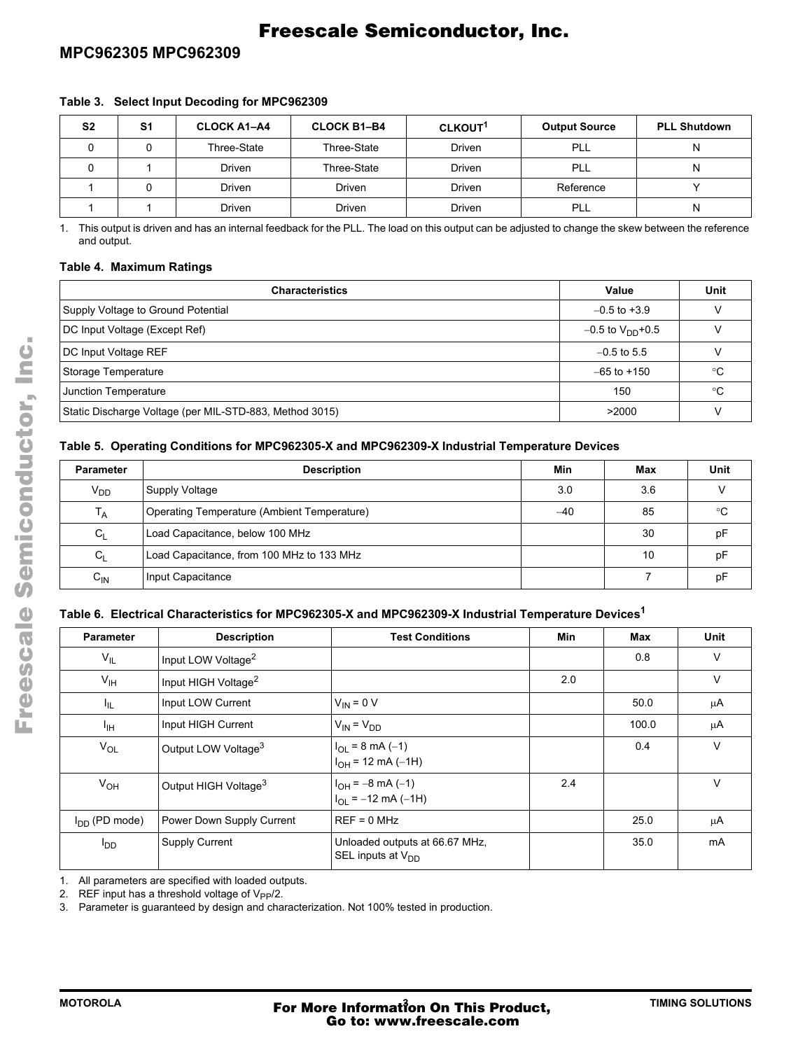## **MPC962305 MPC962309**

| S <sub>2</sub> | S1 | <b>CLOCK A1-A4</b> | <b>CLOCK B1-B4</b> | CLKOUT <sup>1</sup> | <b>Output Source</b> | <b>PLL Shutdown</b> |
|----------------|----|--------------------|--------------------|---------------------|----------------------|---------------------|
|                |    | Three-State        | Three-State        | <b>Driven</b>       | PLL                  |                     |
|                |    | Driven             | Three-State        | <b>Driven</b>       | PLL                  |                     |
|                |    | Driven             | Driven             | <b>Driven</b>       | Reference            |                     |
|                |    | Driven             | Driven             | Driven              | PLL                  |                     |

<span id="page-2-0"></span>**Table 3. Select Input Decoding for MPC962309**

1. This output is driven and has an internal feedback for the PLL. The load on this output can be adjusted to change the skew between the reference and output.

### **Table 4. Maximum Ratings**

| <b>Characteristics</b>                                  | Value                          | Unit |
|---------------------------------------------------------|--------------------------------|------|
| Supply Voltage to Ground Potential                      | $-0.5$ to $+3.9$               |      |
| DC Input Voltage (Except Ref)                           | $-0.5$ to V <sub>DD</sub> +0.5 |      |
| DC Input Voltage REF                                    | $-0.5$ to 5.5                  |      |
| Storage Temperature                                     | $-65$ to $+150$                | ℃    |
| Junction Temperature                                    | 150                            | ∘C   |
| Static Discharge Voltage (per MIL-STD-883, Method 3015) | >2000                          |      |

### **Table 5. Operating Conditions for MPC962305-X and MPC962309-X Industrial Temperature Devices**

| <b>Parameter</b>  | <b>Description</b>                          | Min   | Max | Unit |
|-------------------|---------------------------------------------|-------|-----|------|
| $V_{DD}$          | Supply Voltage                              | 3.0   | 3.6 |      |
| Т <sub>А</sub>    | Operating Temperature (Ambient Temperature) | $-40$ | 85  | ℃    |
| $C_{1}$           | Load Capacitance, below 100 MHz             |       | 30  | рF   |
| C <sub>1</sub>    | Load Capacitance, from 100 MHz to 133 MHz   |       | 10  | pF   |
| $C_{\mathsf{IN}}$ | Input Capacitance                           |       |     | рF   |

### **Table 6. Electrical Characteristics for MPC962305-X and MPC962309-X Industrial Temperature Devices1**

| <b>Parameter</b>       | <b>Description</b>               | <b>Test Conditions</b>                                          | Min | Max   | Unit   |
|------------------------|----------------------------------|-----------------------------------------------------------------|-----|-------|--------|
| $V_{IL}$               | Input LOW Voltage <sup>2</sup>   |                                                                 |     | 0.8   | $\vee$ |
| $V_{\text{IH}}$        | Input HIGH Voltage <sup>2</sup>  |                                                                 | 2.0 |       | $\vee$ |
| ЧL.                    | Input LOW Current                | $V_{IN} = 0 V$                                                  |     | 50.0  | μA     |
| ŀщ                     | Input HIGH Current               | $V_{IN} = V_{DD}$                                               |     | 100.0 | μA     |
| $V_{OL}$               | Output LOW Voltage <sup>3</sup>  | $I_{OL}$ = 8 mA (-1)<br>$I_{OH}$ = 12 mA (-1H)                  |     | 0.4   | $\vee$ |
| $V_{OH}$               | Output HIGH Voltage <sup>3</sup> | $I_{OH} = -8$ mA (-1)<br>$I_{\text{O}} = -12 \text{ mA } (-1H)$ | 2.4 |       | $\vee$ |
| $I_{DD}$ (PD mode)     | Power Down Supply Current        | $REF = 0 MHz$                                                   |     | 25.0  | μA     |
| <b>I</b> <sub>DD</sub> | <b>Supply Current</b>            | Unloaded outputs at 66.67 MHz,<br>SEL inputs at $V_{DD}$        |     | 35.0  | mA     |

1. All parameters are specified with loaded outputs.

2. REF input has a threshold voltage of  $V_{\text{PP}}/2$ .

3. Parameter is guaranteed by design and characterization. Not 100% tested in production.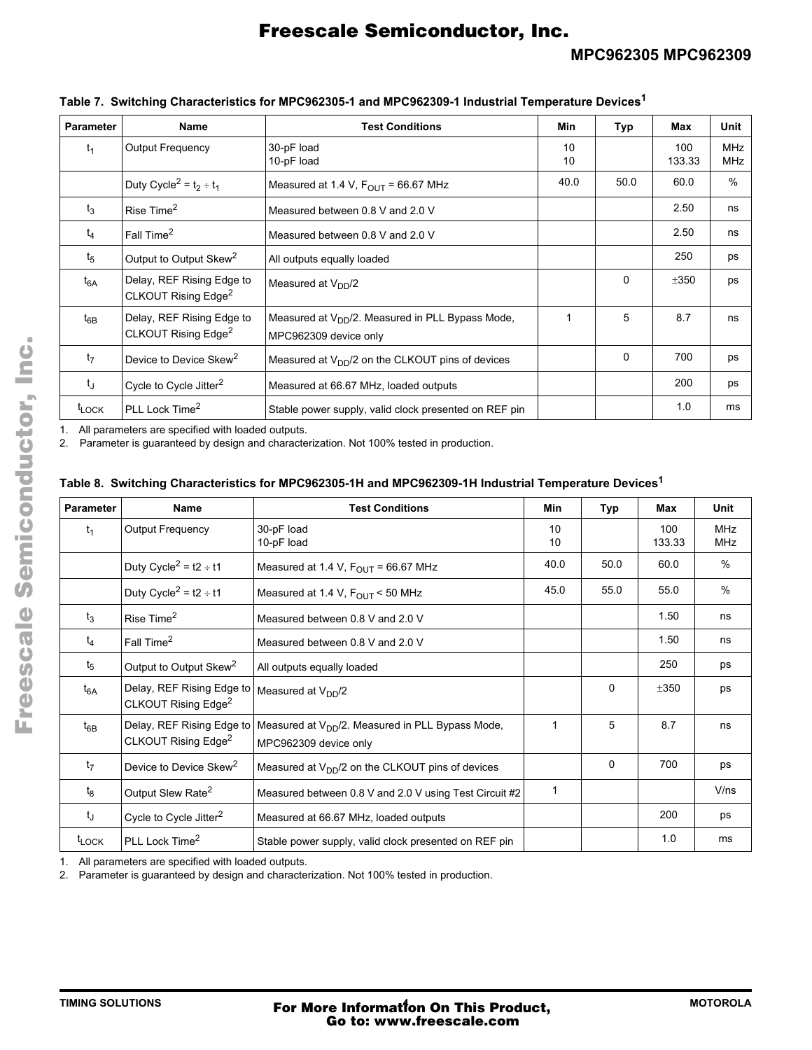| <b>Parameter</b>  | Name                                                         | <b>Test Conditions</b>                                                         | Min      | Typ      | Max           | Unit                     |
|-------------------|--------------------------------------------------------------|--------------------------------------------------------------------------------|----------|----------|---------------|--------------------------|
| $t_1$             | <b>Output Frequency</b>                                      | 30-pF load<br>10-pF load                                                       | 10<br>10 |          | 100<br>133.33 | <b>MHz</b><br><b>MHz</b> |
|                   | Duty Cycle <sup>2</sup> = $t_2 \div t_1$                     | Measured at 1.4 V, $F_{\text{OUT}}$ = 66.67 MHz                                | 40.0     | 50.0     | 60.0          | $\frac{0}{0}$            |
| $t_3$             | Rise Time <sup>2</sup>                                       | Measured between 0.8 V and 2.0 V                                               |          |          | 2.50          | ns                       |
| $t_4$             | Fall Time <sup>2</sup>                                       | Measured between 0.8 V and 2.0 V                                               |          |          | 2.50          | ns                       |
| $t_5$             | Output to Output Skew <sup>2</sup>                           | All outputs equally loaded                                                     |          |          | 250           | ps                       |
| $t_{6A}$          | Delay, REF Rising Edge to<br>CLKOUT Rising Edge <sup>2</sup> | Measured at $V_{DD}/2$                                                         |          | 0        | ±350          | ps                       |
| $t_{6B}$          | Delay, REF Rising Edge to<br>CLKOUT Rising Edge <sup>2</sup> | Measured at $V_{DD}/2$ . Measured in PLL Bypass Mode,<br>MPC962309 device only | 1        | 5        | 8.7           | ns                       |
| t <sub>7</sub>    | Device to Device Skew <sup>2</sup>                           | Measured at $V_{DD}/2$ on the CLKOUT pins of devices                           |          | $\Omega$ | 700           | ps                       |
| t                 | Cycle to Cycle Jitter <sup>2</sup>                           | Measured at 66.67 MHz, loaded outputs                                          |          |          | 200           | ps                       |
| t <sub>LOCK</sub> | PLL Lock Time <sup>2</sup>                                   | Stable power supply, valid clock presented on REF pin                          |          |          | 1.0           | ms                       |

### **Table 7. Switching Characteristics for MPC962305-1 and MPC962309-1 Industrial Temperature Devices<sup>1</sup>**

1. All parameters are specified with loaded outputs.

2. Parameter is guaranteed by design and characterization. Not 100% tested in production.

### **Table 8. Switching Characteristics for MPC962305-1H and MPC962309-1H Industrial Temperature Devices<sup>1</sup>**

| <b>Parameter</b>  | Name                                                         | <b>Test Conditions</b>                                                                | Min          | Typ  | Max           | Unit                     |
|-------------------|--------------------------------------------------------------|---------------------------------------------------------------------------------------|--------------|------|---------------|--------------------------|
| $t_1$             | <b>Output Frequency</b>                                      | 30-pF load<br>10-pF load                                                              | 10<br>10     |      | 100<br>133.33 | <b>MHz</b><br><b>MHz</b> |
|                   | Duty Cycle <sup>2</sup> = t2 ÷ t1                            | Measured at 1.4 V, $F_{\text{OUT}}$ = 66.67 MHz                                       | 40.0         | 50.0 | 60.0          | $\%$                     |
|                   | Duty Cycle <sup>2</sup> = $t2 \div t1$                       | Measured at 1.4 V, $F_{\text{OUT}}$ < 50 MHz                                          | 45.0         | 55.0 | 55.0          | $\frac{0}{0}$            |
| $t_3$             | Rise Time <sup>2</sup>                                       | Measured between 0.8 V and 2.0 V                                                      |              |      | 1.50          | ns                       |
| $t_4$             | Fall Time <sup>2</sup>                                       | Measured between 0.8 V and 2.0 V                                                      |              |      | 1.50          | ns                       |
| $t_{5}$           | Output to Output Skew <sup>2</sup>                           | All outputs equally loaded                                                            |              |      | 250           | ps                       |
| $t_{6A}$          | Delay, REF Rising Edge to<br>CLKOUT Rising Edge <sup>2</sup> | Measured at V <sub>DD</sub> /2                                                        |              | 0    | ±350          | ps                       |
| $t_{6B}$          | Delay, REF Rising Edge to<br>CLKOUT Rising Edge <sup>2</sup> | Measured at V <sub>DD</sub> /2. Measured in PLL Bypass Mode,<br>MPC962309 device only | 1            | 5    | 8.7           | ns                       |
| $t_7$             | Device to Device Skew <sup>2</sup>                           | Measured at $V_{DD}/2$ on the CLKOUT pins of devices                                  |              | 0    | 700           | ps                       |
| $t_8$             | Output Slew Rate <sup>2</sup>                                | Measured between 0.8 V and 2.0 V using Test Circuit #2                                | $\mathbf{1}$ |      |               | V/ns                     |
| tj                | Cycle to Cycle Jitter <sup>2</sup>                           | Measured at 66.67 MHz, loaded outputs                                                 |              |      | 200           | ps                       |
| t <sub>LOCK</sub> | PLL Lock Time <sup>2</sup>                                   | Stable power supply, valid clock presented on REF pin                                 |              |      | 1.0           | ms                       |

1. All parameters are specified with loaded outputs.

2. Parameter is guaranteed by design and characterization. Not 100% tested in production.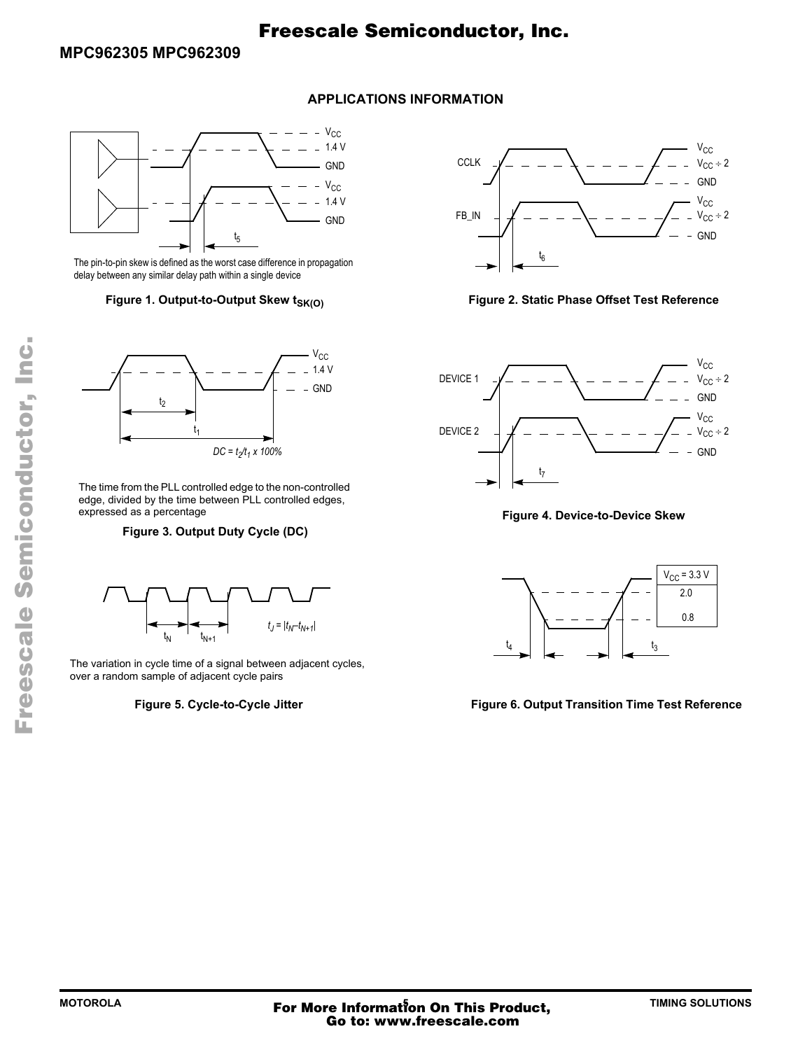## **APPLICATIONS INFORMATION**



The pin-to-pin skew is defined as the worst case difference in propagation delay between any similar delay path within a single device



The time from the PLL controlled edge to the non-controlled edge, divided by the time between PLL controlled edges, expressed as a percentage

**Figure 3. Output Duty Cycle (DC)**



The variation in cycle time of a signal between adjacent cycles, over a random sample of adjacent cycle pairs

### **Figure 5. Cycle-to-Cycle Jitter**



### Figure 1. Output-to-Output Skew t<sub>SK(O)</sub> **Figure 2. Static Phase Offset Test Reference**



**Figure 4. Device-to-Device Skew**



**Figure 6. Output Transition Time Test Reference**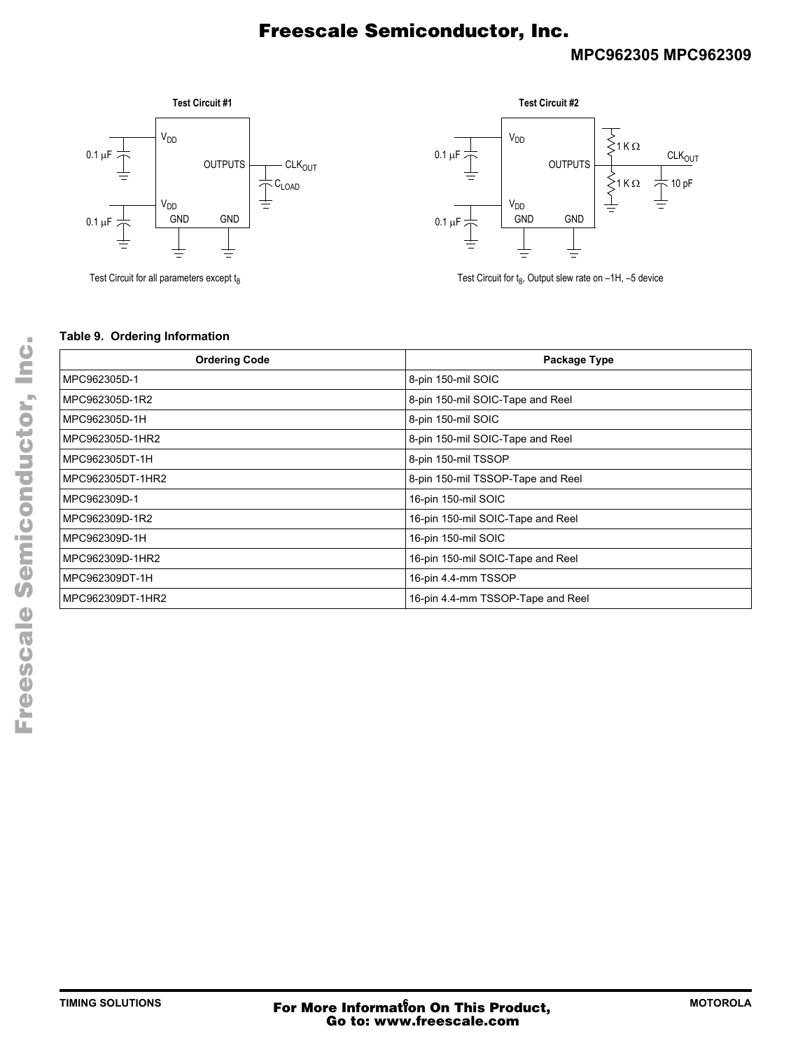## **MPC962305 MPC962309**







Test Circuit for  $t_8$ , Output slew rate on  $-1H$ ,  $-5$  device

### **Table 9. Ordering Information**

| <b>Ordering Code</b> | Package Type                      |
|----------------------|-----------------------------------|
| MPC962305D-1         | 8-pin 150-mil SOIC                |
| MPC962305D-1R2       | 8-pin 150-mil SOIC-Tape and Reel  |
| MPC962305D-1H        | 8-pin 150-mil SOIC                |
| MPC962305D-1HR2      | 8-pin 150-mil SOIC-Tape and Reel  |
| MPC962305DT-1H       | 8-pin 150-mil TSSOP               |
| MPC962305DT-1HR2     | 8-pin 150-mil TSSOP-Tape and Reel |
| MPC962309D-1         | 16-pin 150-mil SOIC               |
| MPC962309D-1R2       | 16-pin 150-mil SOIC-Tape and Reel |
| MPC962309D-1H        | 16-pin 150-mil SOIC               |
| MPC962309D-1HR2      | 16-pin 150-mil SOIC-Tape and Reel |
| MPC962309DT-1H       | 16-pin 4.4-mm TSSOP               |
| MPC962309DT-1HR2     | 16-pin 4.4-mm TSSOP-Tape and Reel |

F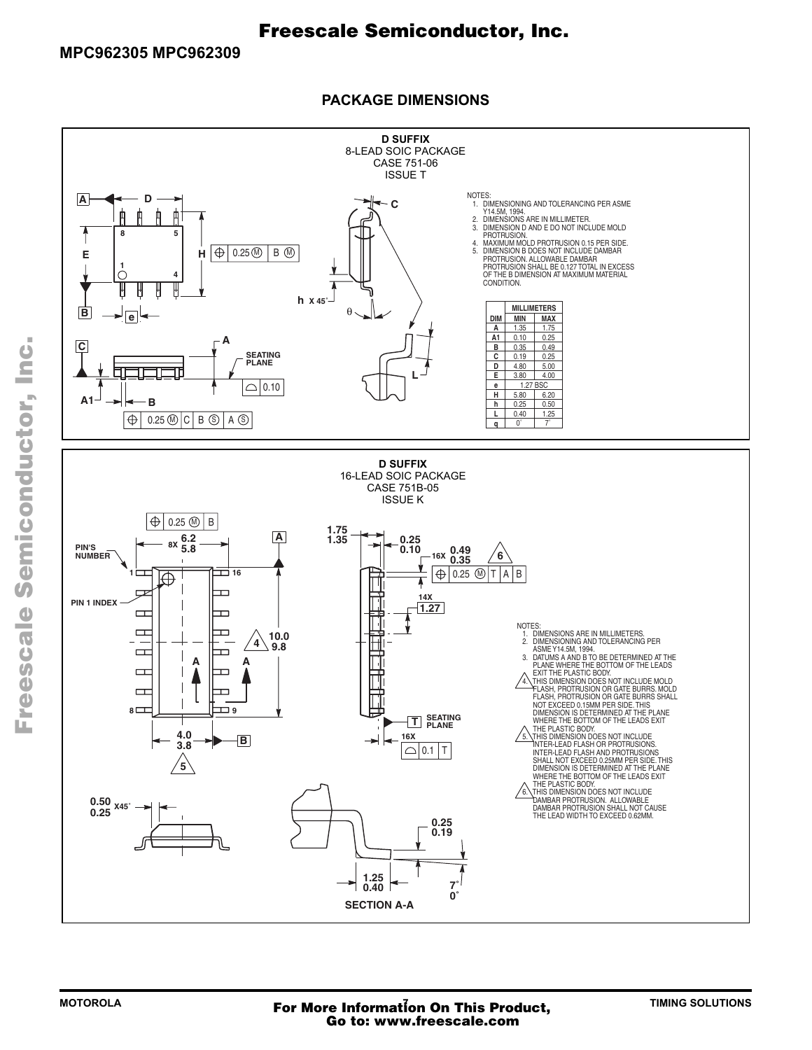**D SUFFIX** 8-LEAD SOIC PACKAGE CASE 751-06 ISSUE T NOTES:<br>1. DIMENSIONING AND TOLERANCING PER ASME<br>2. DIMENSIONS ARE IN MILLIMETER.<br>2. DIMENSION D AND E DO NOT INCLUDE MOLD **A D C** ф 面 A 曲 **8 5** PROTRUSION.<br>4. MAXIMUM MOLD PROTRUSION 0.15 PER SIDE.<br>5. DIMENSION B DOES NOT INCLUDE DAMBAR<br>PROTRUSION SHALL BE 0.127 TOTAL IN EXCESS<br>PROTRUSION SHALL BE 0.127 TOTAL IN EXCESS<br>OF THE B DIMENSION AT MAXIMUM MATERIAL  $H \bigoplus 0.25 \circledM \bigotimes B \circledM$ **E H 1 4** CONDITION. **h X 45˚ MILLIMETERS** θ  $\theta$  **e DIM MIN MAX A** 1.35 1.75<br>**A1** 0.10 0.25 **A1** 0.10 0.25<br>**B** 0.35 0.49  $\Gamma$  **C B** 0.35 0.49<br> **C** 0.19 0.25<br> **D** 4.80 5.00 **SEATING**  $\frac{0.19}{4.80}$ **PLANE** 4.80 5.00<br>3.80 4.00 **L E** 4.00 0.10  $\triangle$ **e** 1.27 BSC<br> **H** 5.80 6.20 **H** 5.80 **A1 B h**  $0.25$  0.50 **L** 0.40 1.25  $0.25 \circledR$  C B  $\circledS$  A  $\circledS$  $\oplus$  $0^\circ$  7 **q D SUFFIX** 16-LEAD SOIC PACKAGE 2. D. 0010 17101 **ISSUE K**  $\overline{\bigoplus}$  0.25  $\circledR$  | B **1.75** 7. BASE, #1 8. EMITTER, #1 **A** 7. GATE, #1 **8X 6.2** 8. EMITTER  $1.35$   $\begin{array}{|c|c|c|c|c|} \hline \textbf{0.25} & \textbf{0.25} \ \hline \end{array}$ **PIN'S 5.8 0.10 16X 0.49 6**<br>**16X 0.35 NUMBER** STYLE 6: **1 16**  $\blacksquare$  $A \mid B$  $\mathbb{P}$   $\longrightarrow$   $\mathbb{P}$   $\rightarrow$   $\mathbb{P}$   $\rightarrow$   $\mathbb{P}$   $\rightarrow$   $\mathbb{P}$   $\rightarrow$   $\mathbb{P}$   $\rightarrow$   $\mathbb{P}$   $\rightarrow$   $\mathbb{P}$   $\rightarrow$   $\mathbb{P}$   $\rightarrow$   $\mathbb{P}$   $\rightarrow$   $\mathbb{P}$   $\rightarrow$   $\mathbb{P}$   $\rightarrow$   $\mathbb{P}$   $\rightarrow$   $\mathbb{P}$   $\rightarrow$   $\mathbb{P}$   $\rightarrow$   $\mathbb{P}$   $\$  PIN 1. DRAIN 2. DRAIN  $\begin{bmatrix} 1 & 0 \\ 0 & 1 \end{bmatrix}$  $|A|D|$  2. BASE, #1  $\Box$  3. DRAIN 4. DRAIN 5. GATE **PIN 1 INDEX**  $\frac{1}{2}$   $\frac{1}{2}$ **14X** 4. SOURCE  $\mathbb{H} \longrightarrow \mathbb{H}$ **1.27** 5. SOURCE 5. DRAIN  $\Box$ D 6. GATE 3 7. SECOND STAGE Vd NOTES:<br>1. DIMENSIONS NOTES:<br>
1. DIMENSIONS ARE IN MILLIMETERS.<br>
2. DIMENSIONING AND TOLERANCING PER<br>
2. DIMENSIONING AND TOLERANCING PER<br>
3. DATUMS A AND B TO BE DETERMINED AT THE<br>
PLANE WHERE THE BOTTOM OF THE LEADS<br>
A LEAT THE PLASTIC BODY.<br>  $\Box$ n  $\sqrt{4}$   $\sqrt{10.0}$  $\mathsf{b} \cdot \mathbf{I}$ ÷, **9.8**  $\Box$ Ð **A A**  $\mathbf{A}$ STYLE 11: PLANE<br>
EXIT TH<br>
A. THIS DI<br>
FLASH,<br>
NOT EX<br>
NOT SOUR-<br>
NOT SOUR-<br>
NOT SOUR- $\Box$ O PIN 1. right in the set of the set of the set of the set of the set of the set of the set of the set of the set of the set of the set of the set of the set of the set of the set of the set of the set of the set of the set of the 2. COLLECTOR, DIE #1 2. BIAS 1 2. GATE 1 3. OUTPUT 3. SOURCE 2  $\Box$ ┯┑  $\overline{\phantom{a}}$  . Expanding the set of  $\overline{\phantom{a}}$  4. GROUND 4. GATE 2 5. EMITTER, COMMON 5. GROUND 5. DRAIN 2 8 D **8 9** 6. BIAS 2 **SEATING**<br>
PLANE DIMENSION IS DETERMINED AT THE PLANE<br>
WHERE THE BOTTOM OF THE LEADS EXIT<br>
S. THE PLASTIC BODY.<br>
S. THE PLASTIC BODY.<br>
INTER-LEAD FLASH OR PROTRUSIONS.<br>
INTER-LEAD FLASH AND PROTRUSIONS.<br>
SHALL NOT EXCEED 0.25MM PER SIDE. T 7. BASE, DIE #1 <u>7. Input in the second second</u>  $\overline{M}$  WHE 8. EMITTER, COMMON **16X**  $\leftarrow$ **B**<br>3.8 **B**  $\bigcirc$  0.1 T **5 DIMENSION IS** WHERE THE BOTT<br>
THE PLASTIC BOD<br>
6. THIS DIMENSION I<br>
DAMBAR PROTRU:<br>
DAMBAR PROTRU:<br>
DAMBAR PROTRU:<br>
THE LEAD WIDTH WHERE THE BOTTOM OF THE LEADS EXIT<br>
THE PLASTIC BODY.<br>
DAMBAR PROTRUSION. ALLOWABLE<br>
DAMBAR PROTRUSION. ALLOWABLE<br>
DAMBAR PROTRUSION SHALL NOT CAUSE<br>
THE LEAD WIDTH TO EXCEED 0.62MM. 4. GATE 5. DRAIN 6. DRAIN 7. DRAIN **0.50 X45˚ 0.25**  $\sim$  0.25 **0.19** STYLE 18:  $\begin{array}{c|c} 1.25 & - & 7 \\ 0.40 & 0 & 0 \end{array}$ **0.40 0˚ SECTION A-A**

## **PACKAGE DIMENSIONS**

F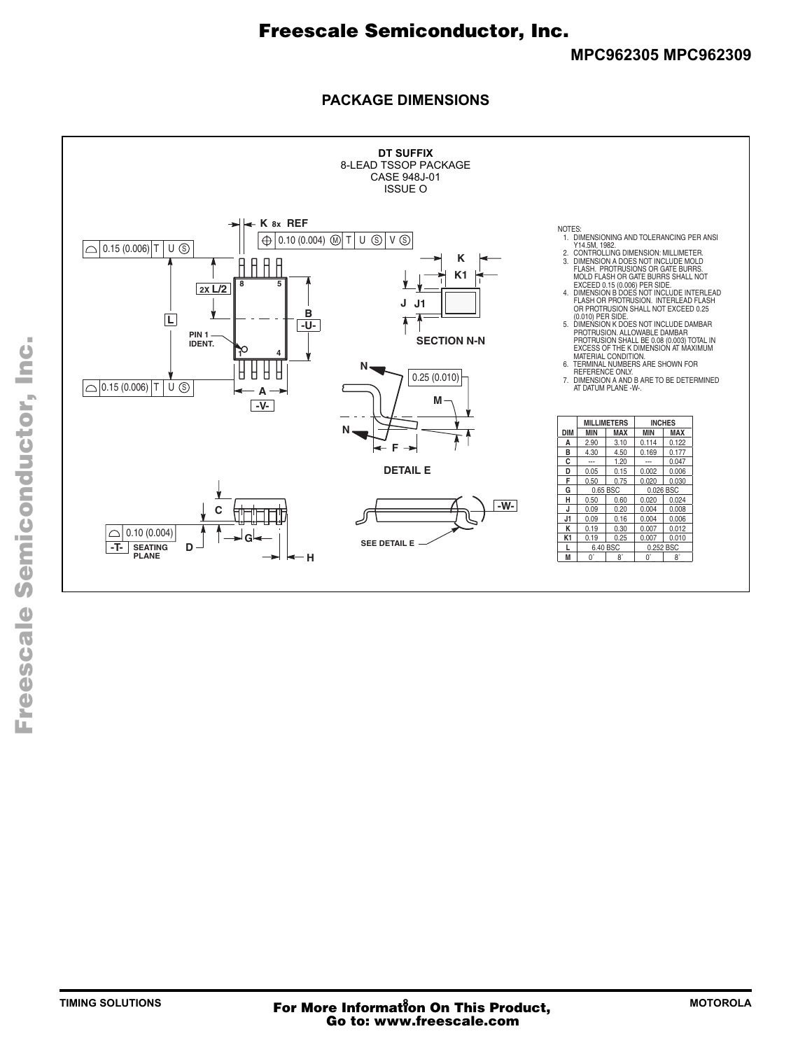## **PACKAGE DIMENSIONS**

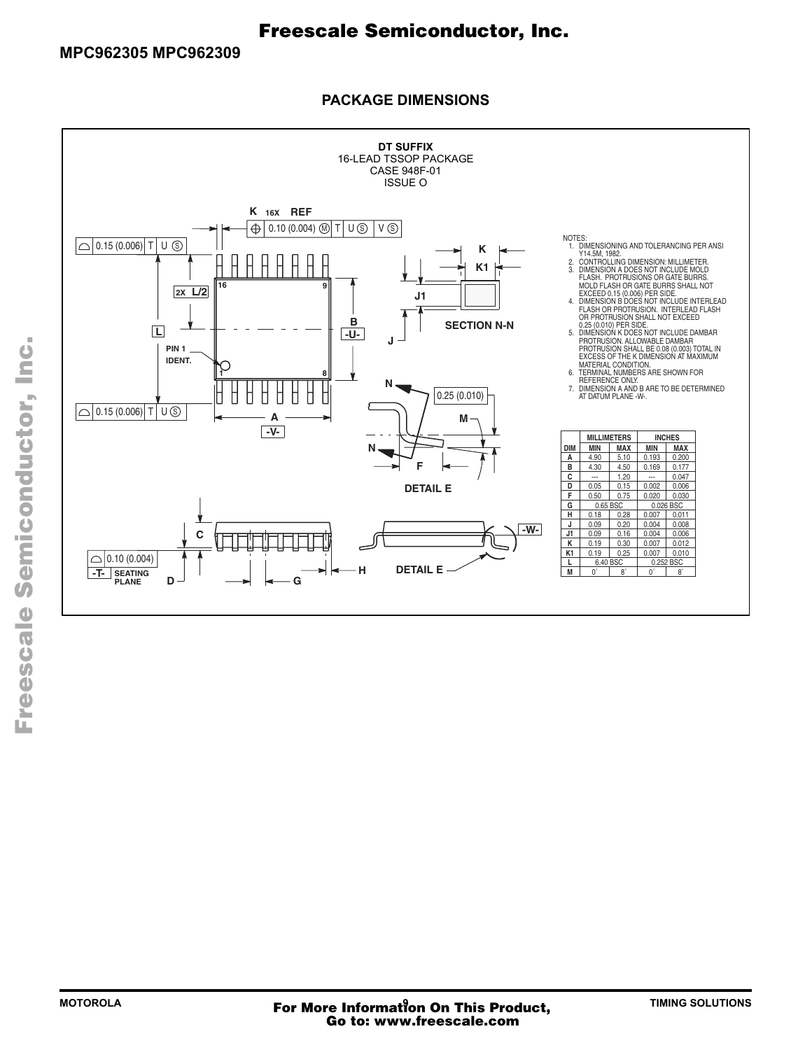## **PACKAGE DIMENSIONS**

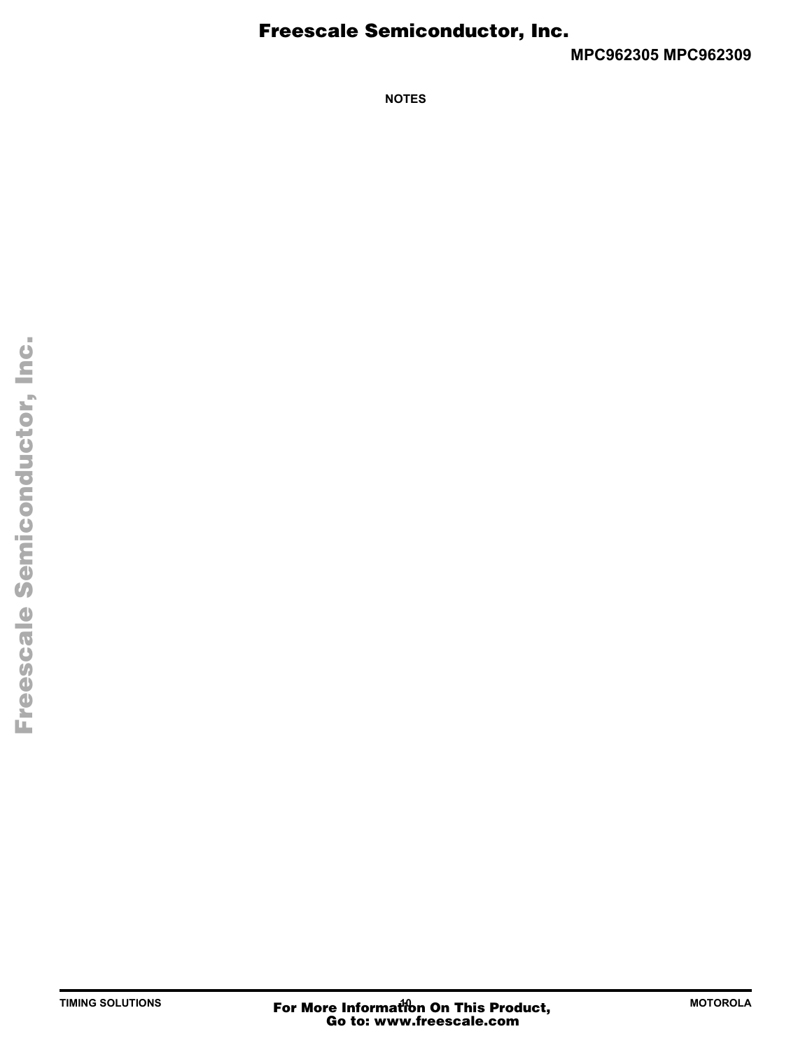**MPC962305 MPC962309**

**NOTES**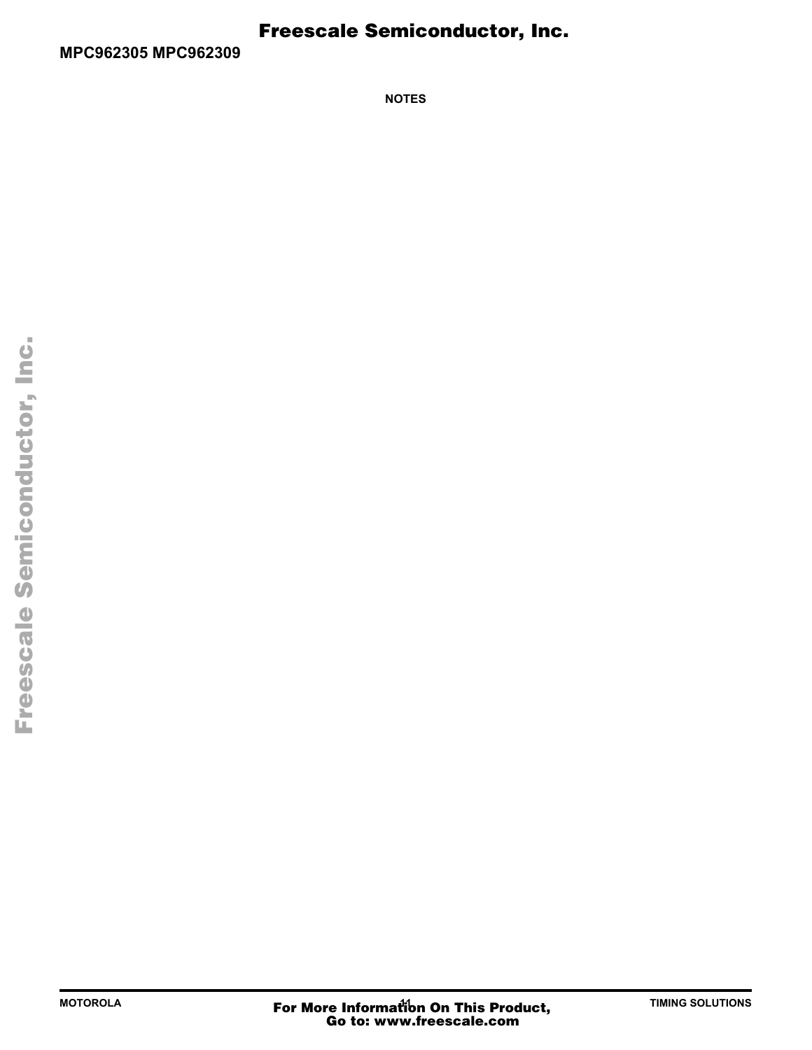**NOTES**